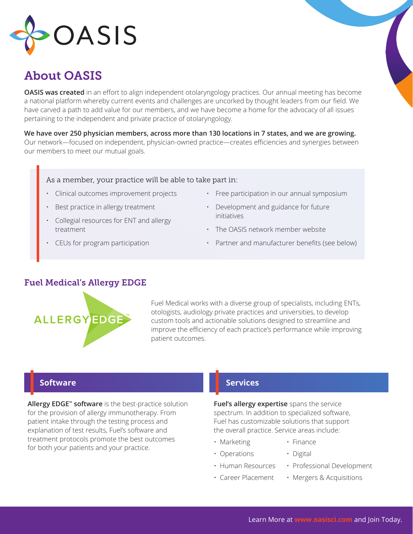

# About OASIS

**OASIS was created** in an effort to align independent otolaryngology practices. Our annual meeting has become a national platform whereby current events and challenges are uncorked by thought leaders from our field. We have carved a path to add value for our members, and we have become a home for the advocacy of all issues pertaining to the independent and private practice of otolaryngology.

**We have over 250 physician members, across more than 130 locations in 7 states, and we are growing.** Our network—focused on independent, physician-owned practice—creates efficiencies and synergies between our members to meet our mutual goals.

### As a member, your practice will be able to take part in:

- Clinical outcomes improvement projects
- Best practice in allergy treatment
- Collegial resources for ENT and allergy treatment
- CEUs for program participation
- Free participation in our annual symposium
- Development and guidance for future initiatives
- The OASIS network member website
- Partner and manufacturer benefits (see below)

## Fuel Medical's Allergy EDGE



Fuel Medical works with a diverse group of specialists, including ENTs, otologists, audiology private practices and universities, to develop custom tools and actionable solutions designed to streamline and improve the efficiency of each practice's performance while improving patient outcomes.

## **Software**

**Allergy EDGE™ software** is the best-practice solution for the provision of allergy immunotherapy. From patient intake through the testing process and explanation of test results, Fuel's software and treatment protocols promote the best outcomes for both your patients and your practice.

## **Services**

**Fuel's allergy expertise** spans the service spectrum. In addition to specialized software, Fuel has customizable solutions that support the overall practice. Service areas include:

- Marketing Finance
- Operations Digital
- 
- 
- 
- Human Resources Professional Development
- Career Placement Mergers & Acquisitions